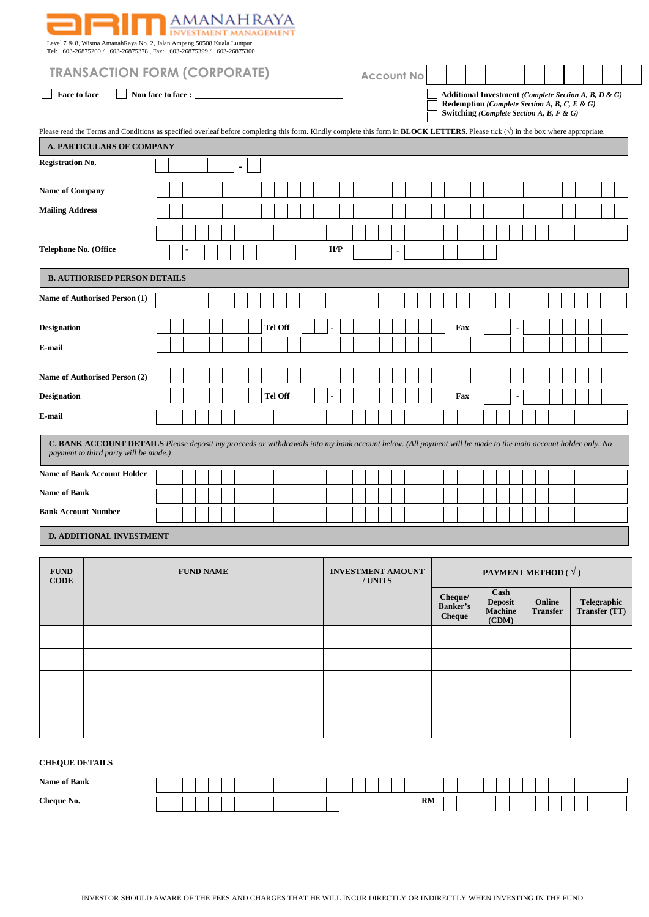| Level 7 & 8, Wisma AmanahRaya No. 2, Jalan Ampang 50508 Kuala Lumpur<br>Tel: +603-26875200 / +603-26875378, Fax: +603-26875399 / +603-26875300                                                              |  | anahraya |  |  |         |  |     |  |                   |  |  |     |  |  |                                                                                          |  |                                                      |  |  |
|-------------------------------------------------------------------------------------------------------------------------------------------------------------------------------------------------------------|--|----------|--|--|---------|--|-----|--|-------------------|--|--|-----|--|--|------------------------------------------------------------------------------------------|--|------------------------------------------------------|--|--|
| <b>TRANSACTION FORM (CORPORATE)</b>                                                                                                                                                                         |  |          |  |  |         |  |     |  | <b>Account No</b> |  |  |     |  |  |                                                                                          |  |                                                      |  |  |
| Face to face<br>Non face to face :<br>$\blacksquare$                                                                                                                                                        |  |          |  |  |         |  |     |  |                   |  |  |     |  |  | Redemption (Complete Section A, B, C, E & G)<br>Switching (Complete Section A, B, F & G) |  | Additional Investment (Complete Section A, B, D & G) |  |  |
| Please read the Terms and Conditions as specified overleaf before completing this form. Kindly complete this form in <b>BLOCK LETTERS</b> . Please tick $(\sqrt{})$ in the box where appropriate.           |  |          |  |  |         |  |     |  |                   |  |  |     |  |  |                                                                                          |  |                                                      |  |  |
| <b>A. PARTICULARS OF COMPANY</b>                                                                                                                                                                            |  |          |  |  |         |  |     |  |                   |  |  |     |  |  |                                                                                          |  |                                                      |  |  |
| <b>Registration No.</b>                                                                                                                                                                                     |  |          |  |  |         |  |     |  |                   |  |  |     |  |  |                                                                                          |  |                                                      |  |  |
| <b>Name of Company</b>                                                                                                                                                                                      |  |          |  |  |         |  |     |  |                   |  |  |     |  |  |                                                                                          |  |                                                      |  |  |
| <b>Mailing Address</b>                                                                                                                                                                                      |  |          |  |  |         |  |     |  |                   |  |  |     |  |  |                                                                                          |  |                                                      |  |  |
|                                                                                                                                                                                                             |  |          |  |  |         |  |     |  |                   |  |  |     |  |  |                                                                                          |  |                                                      |  |  |
| <b>Telephone No. (Office</b>                                                                                                                                                                                |  |          |  |  |         |  | H/P |  |                   |  |  |     |  |  |                                                                                          |  |                                                      |  |  |
| <b>B. AUTHORISED PERSON DETAILS</b>                                                                                                                                                                         |  |          |  |  |         |  |     |  |                   |  |  |     |  |  |                                                                                          |  |                                                      |  |  |
| Name of Authorised Person (1)                                                                                                                                                                               |  |          |  |  |         |  |     |  |                   |  |  |     |  |  |                                                                                          |  |                                                      |  |  |
| <b>Designation</b>                                                                                                                                                                                          |  |          |  |  | Tel Off |  |     |  |                   |  |  | Fax |  |  |                                                                                          |  |                                                      |  |  |
| E-mail                                                                                                                                                                                                      |  |          |  |  |         |  |     |  |                   |  |  |     |  |  |                                                                                          |  |                                                      |  |  |
| Name of Authorised Person (2)                                                                                                                                                                               |  |          |  |  |         |  |     |  |                   |  |  |     |  |  |                                                                                          |  |                                                      |  |  |
| <b>Designation</b>                                                                                                                                                                                          |  |          |  |  | Tel Off |  |     |  |                   |  |  | Fax |  |  |                                                                                          |  |                                                      |  |  |
| E-mail                                                                                                                                                                                                      |  |          |  |  |         |  |     |  |                   |  |  |     |  |  |                                                                                          |  |                                                      |  |  |
| <b>C. BANK ACCOUNT DETAILS</b> Please deposit my proceeds or withdrawals into my bank account below. (All payment will be made to the main account holder only. No<br>payment to third party will be made.) |  |          |  |  |         |  |     |  |                   |  |  |     |  |  |                                                                                          |  |                                                      |  |  |
| <b>Name of Bank Account Holder</b>                                                                                                                                                                          |  |          |  |  |         |  |     |  |                   |  |  |     |  |  |                                                                                          |  |                                                      |  |  |
| <b>Name of Bank</b>                                                                                                                                                                                         |  |          |  |  |         |  |     |  |                   |  |  |     |  |  |                                                                                          |  |                                                      |  |  |
| <b>Bank Account Number</b>                                                                                                                                                                                  |  |          |  |  |         |  |     |  |                   |  |  |     |  |  |                                                                                          |  |                                                      |  |  |
| <b>D. ADDITIONAL INVESTMENT</b>                                                                                                                                                                             |  |          |  |  |         |  |     |  |                   |  |  |     |  |  |                                                                                          |  |                                                      |  |  |

| <b>FUND</b><br><b>CODE</b> | <b>FUND NAME</b> | <b>INVESTMENT AMOUNT</b><br>/ UNITS |                                      |                                     | PAYMENT METHOD ( $\sqrt{ }$ ) |                              |
|----------------------------|------------------|-------------------------------------|--------------------------------------|-------------------------------------|-------------------------------|------------------------------|
|                            |                  |                                     | Cheque/<br>Banker's<br><b>Cheque</b> | Cash<br>Deposit<br>Machine<br>(CDM) | Online<br><b>Transfer</b>     | Telegraphic<br>Transfer (TT) |
|                            |                  |                                     |                                      |                                     |                               |                              |
|                            |                  |                                     |                                      |                                     |                               |                              |
|                            |                  |                                     |                                      |                                     |                               |                              |
|                            |                  |                                     |                                      |                                     |                               |                              |
|                            |                  |                                     |                                      |                                     |                               |                              |

# **CHEQUE DETAILS**

| <b>Name of Bank</b> |  |  |  |  |  |  |  |  |  |  |  |    |  |  |  |  |  |  |  |  |  |
|---------------------|--|--|--|--|--|--|--|--|--|--|--|----|--|--|--|--|--|--|--|--|--|
| Cheque No.          |  |  |  |  |  |  |  |  |  |  |  | RM |  |  |  |  |  |  |  |  |  |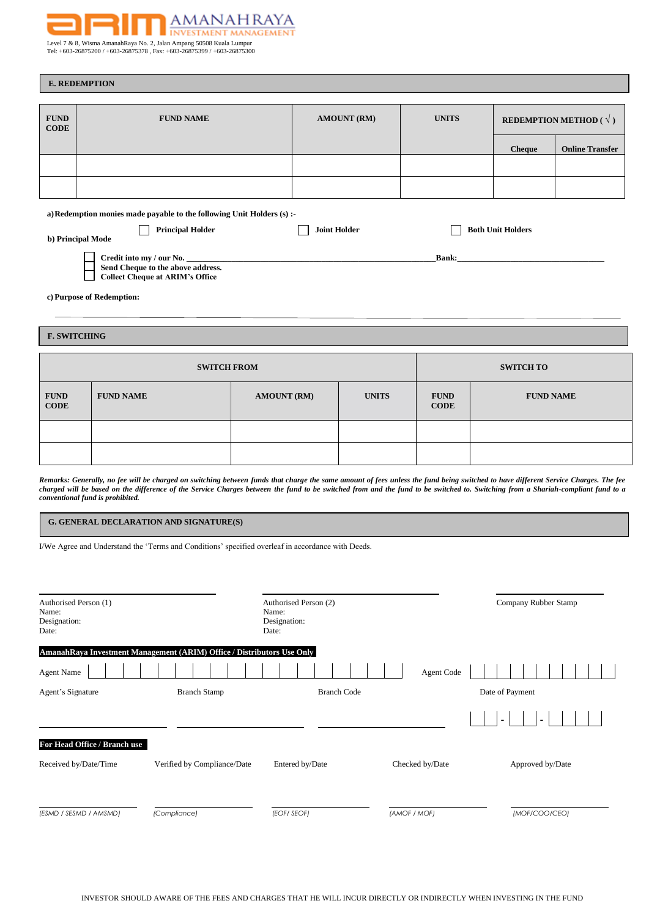

Level 7 & 8, Wisma AmanahRaya No. 2, Jalan Ampang 50508 Kuala Lumpur Tel: +603-26875200 / +603-26875378 , Fax: +603-26875399 / +603-26875300

|                            | <b>E. REDEMPTION</b>                                                   |                     |                    |              |                          |                                        |
|----------------------------|------------------------------------------------------------------------|---------------------|--------------------|--------------|--------------------------|----------------------------------------|
|                            |                                                                        |                     |                    |              |                          |                                        |
| <b>FUND</b><br><b>CODE</b> | <b>FUND NAME</b>                                                       |                     | <b>AMOUNT (RM)</b> | <b>UNITS</b> |                          | <b>REDEMPTION METHOD</b> ( $\sqrt{}$ ) |
|                            |                                                                        |                     |                    |              |                          |                                        |
|                            |                                                                        |                     |                    |              | <b>Cheque</b>            | <b>Online Transfer</b>                 |
|                            |                                                                        |                     |                    |              |                          |                                        |
|                            |                                                                        |                     |                    |              |                          |                                        |
|                            | a) Redemption monies made payable to the following Unit Holders (s) :- |                     |                    |              |                          |                                        |
|                            | <b>Principal Holder</b>                                                | <b>Joint Holder</b> |                    |              | <b>Both Unit Holders</b> |                                        |
|                            | b) Principal Mode                                                      |                     |                    |              |                          |                                        |
|                            | Credit into my / our No.<br>Send Cheque to the above address.          |                     |                    | Bank:        |                          |                                        |
|                            | <b>Collect Cheque at ARIM's Office</b>                                 |                     |                    |              |                          |                                        |
|                            | c) Purpose of Redemption:                                              |                     |                    |              |                          |                                        |
|                            |                                                                        |                     |                    |              |                          |                                        |
|                            | <b>F. SWITCHING</b>                                                    |                     |                    |              |                          |                                        |
|                            |                                                                        |                     |                    |              |                          |                                        |
|                            | <b>SWITCH FROM</b>                                                     |                     |                    |              | <b>SWITCH TO</b>         |                                        |
| <b>FUND</b>                | <b>FUND NAME</b>                                                       | <b>AMOUNT (RM)</b>  | <b>UNITS</b>       | <b>FUND</b>  | <b>FUND NAME</b>         |                                        |

| $\mid G$ . GENERAL DECLARATION AND SIGNATURE(S) |
|-------------------------------------------------|
|-------------------------------------------------|

I/We Agree and Understand the 'Terms and Conditions' specified overleaf in accordance with Deeds.

*conventional fund is prohibited.*

**CODE**

| Authorised Person (1)<br>Name:<br>Designation:<br>Date: |                                                                        | Authorised Person (2)<br>Name:<br>Designation:<br>Date: |                 | Company Rubber Stamp |
|---------------------------------------------------------|------------------------------------------------------------------------|---------------------------------------------------------|-----------------|----------------------|
|                                                         | AmanahRaya Investment Management (ARIM) Office / Distributors Use Only |                                                         |                 |                      |
| <b>Agent Name</b>                                       |                                                                        |                                                         | Agent Code      |                      |
| Agent's Signature                                       | <b>Branch Stamp</b>                                                    | <b>Branch Code</b>                                      |                 | Date of Payment      |
|                                                         |                                                                        |                                                         |                 |                      |
| For Head Office / Branch use                            |                                                                        |                                                         |                 |                      |
| Received by/Date/Time                                   | Verified by Compliance/Date                                            | Entered by/Date                                         | Checked by/Date | Approved by/Date     |
| (ESMD / SESMD / AMSMD)                                  | (Compliance)                                                           | (EOF/ SEOF)                                             | (AMOF / MOF)    | (MOF/COO/CEO)        |

Remarks: Generally, no fee will be charged on switching between funds that charge the same amount of fees unless the fund being switched to have different Service Charges. The fee *charged will be based on the difference of the Service Charges between the fund to be switched from and the fund to be switched to. Switching from a Shariah-compliant fund to a* 

**CODE**